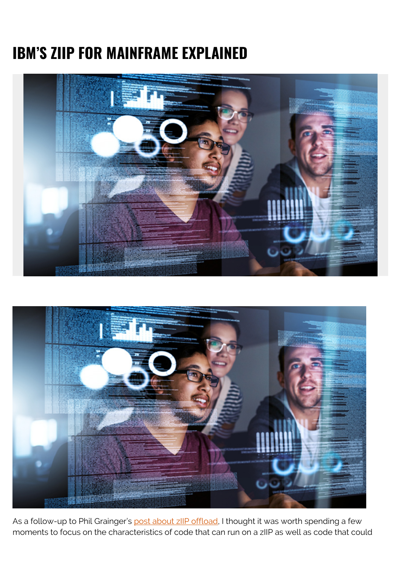## **IBM'S ZIIP FOR MAINFRAME EXPLAINED**





As a follow-up to Phil Grainger's [post about zIIP offload,](https://blogs.bmc.com/blogs/ziip-offload-not-seems) I thought it was worth spending a few moments to focus on the characteristics of code that can run on a zIIP as well as code that could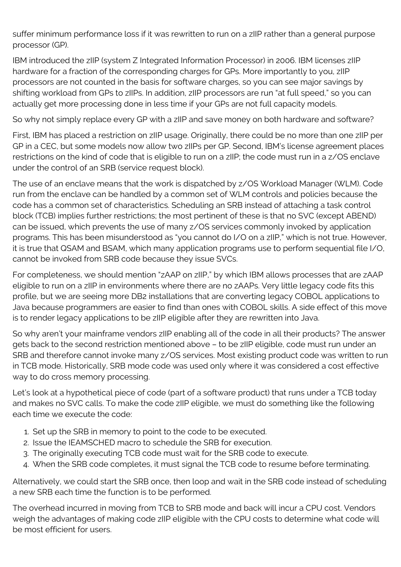suffer minimum performance loss if it was rewritten to run on a zIIP rather than a general purpose processor (GP).

IBM introduced the zIIP (system Z Integrated Information Processor) in 2006. IBM licenses zIIP hardware for a fraction of the corresponding charges for GPs. More importantly to you, zIIP processors are not counted in the basis for software charges, so you can see major savings by shifting workload from GPs to zIIPs. In addition, zIIP processors are run "at full speed," so you can actually get more processing done in less time if your GPs are not full capacity models.

So why not simply replace every GP with a zIIP and save money on both hardware and software?

First, IBM has placed a restriction on zIIP usage. Originally, there could be no more than one zIIP per GP in a CEC, but some models now allow two zIIPs per GP. Second, IBM's license agreement places restrictions on the kind of code that is eligible to run on a zIIP; the code must run in a z/OS enclave under the control of an SRB (service request block).

The use of an enclave means that the work is dispatched by z/OS Workload Manager (WLM). Code run from the enclave can be handled by a common set of WLM controls and policies because the code has a common set of characteristics. Scheduling an SRB instead of attaching a task control block (TCB) implies further restrictions; the most pertinent of these is that no SVC (except ABEND) can be issued, which prevents the use of many z/OS services commonly invoked by application programs. This has been misunderstood as "you cannot do I/O on a zIIP," which is not true. However, it is true that QSAM and BSAM, which many application programs use to perform sequential file I/O, cannot be invoked from SRB code because they issue SVCs.

For completeness, we should mention "zAAP on zIIP," by which IBM allows processes that are zAAP eligible to run on a zIIP in environments where there are no zAAPs. Very little legacy code fits this profile, but we are seeing more DB2 installations that are converting legacy COBOL applications to Java because programmers are easier to find than ones with COBOL skills. A side effect of this move is to render legacy applications to be zIIP eligible after they are rewritten into Java.

So why aren't your mainframe vendors zIIP enabling all of the code in all their products? The answer gets back to the second restriction mentioned above – to be zIIP eligible, code must run under an SRB and therefore cannot invoke many z/OS services. Most existing product code was written to run in TCB mode. Historically, SRB mode code was used only where it was considered a cost effective way to do cross memory processing.

Let's look at a hypothetical piece of code (part of a software product) that runs under a TCB today and makes no SVC calls. To make the code zIIP eligible, we must do something like the following each time we execute the code:

- 1. Set up the SRB in memory to point to the code to be executed.
- 2. Issue the IEAMSCHED macro to schedule the SRB for execution.
- 3. The originally executing TCB code must wait for the SRB code to execute.
- 4. When the SRB code completes, it must signal the TCB code to resume before terminating.

Alternatively, we could start the SRB once, then loop and wait in the SRB code instead of scheduling a new SRB each time the function is to be performed.

The overhead incurred in moving from TCB to SRB mode and back will incur a CPU cost. Vendors weigh the advantages of making code zIIP eligible with the CPU costs to determine what code will be most efficient for users.